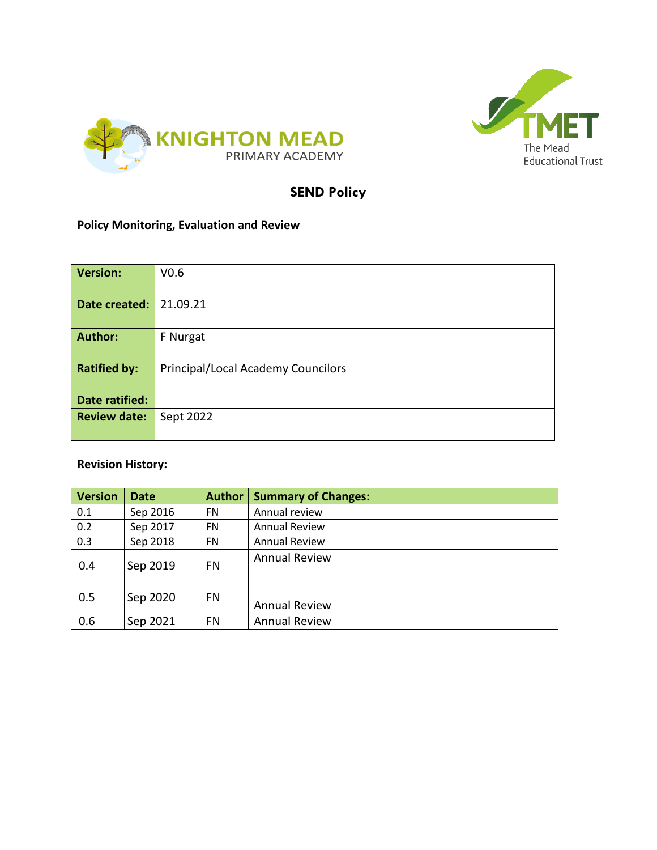



## **SEND Policy**

## **Policy Monitoring, Evaluation and Review**

| <b>Version:</b>     | V <sub>0.6</sub>                          |  |  |
|---------------------|-------------------------------------------|--|--|
| Date created:       | 21.09.21                                  |  |  |
| <b>Author:</b>      | F Nurgat                                  |  |  |
| <b>Ratified by:</b> | <b>Principal/Local Academy Councilors</b> |  |  |
| Date ratified:      |                                           |  |  |
| <b>Review date:</b> | Sept 2022                                 |  |  |

## **Revision History:**

| <b>Version</b> | <b>Date</b> | <b>Author</b> | <b>Summary of Changes:</b> |
|----------------|-------------|---------------|----------------------------|
| 0.1            | Sep 2016    | <b>FN</b>     | Annual review              |
| 0.2            | Sep 2017    | <b>FN</b>     | <b>Annual Review</b>       |
| 0.3            | Sep 2018    | <b>FN</b>     | <b>Annual Review</b>       |
| 0.4            | Sep 2019    | FN            | <b>Annual Review</b>       |
| 0.5            | Sep 2020    | FN            | <b>Annual Review</b>       |
| 0.6            | Sep 2021    | FN            | <b>Annual Review</b>       |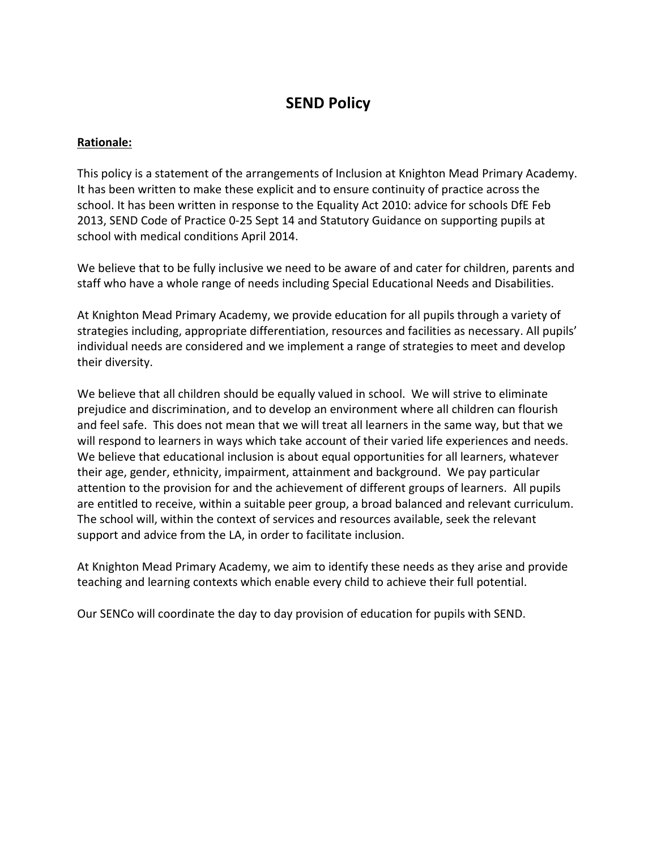# **SEND Policy**

#### **Rationale:**

This policy is a statement of the arrangements of Inclusion at Knighton Mead Primary Academy. It has been written to make these explicit and to ensure continuity of practice across the school. It has been written in response to the Equality Act 2010: advice for schools DfE Feb 2013, SEND Code of Practice 0-25 Sept 14 and Statutory Guidance on supporting pupils at school with medical conditions April 2014.

We believe that to be fully inclusive we need to be aware of and cater for children, parents and staff who have a whole range of needs including Special Educational Needs and Disabilities.

At Knighton Mead Primary Academy, we provide education for all pupils through a variety of strategies including, appropriate differentiation, resources and facilities as necessary. All pupils' individual needs are considered and we implement a range of strategies to meet and develop their diversity.

We believe that all children should be equally valued in school. We will strive to eliminate prejudice and discrimination, and to develop an environment where all children can flourish and feel safe. This does not mean that we will treat all learners in the same way, but that we will respond to learners in ways which take account of their varied life experiences and needs. We believe that educational inclusion is about equal opportunities for all learners, whatever their age, gender, ethnicity, impairment, attainment and background. We pay particular attention to the provision for and the achievement of different groups of learners. All pupils are entitled to receive, within a suitable peer group, a broad balanced and relevant curriculum. The school will, within the context of services and resources available, seek the relevant support and advice from the LA, in order to facilitate inclusion.

At Knighton Mead Primary Academy, we aim to identify these needs as they arise and provide teaching and learning contexts which enable every child to achieve their full potential.

Our SENCo will coordinate the day to day provision of education for pupils with SEND.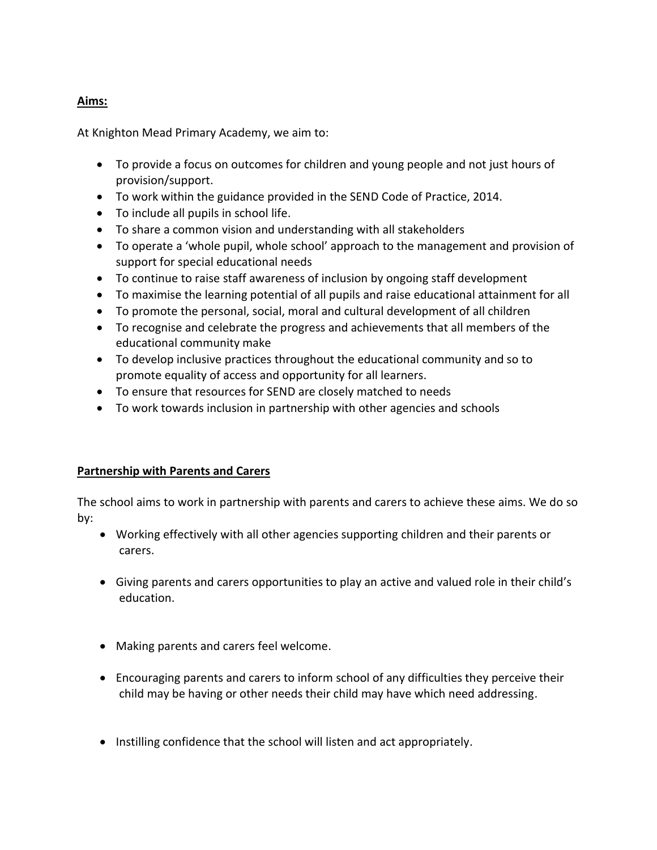## **Aims:**

At Knighton Mead Primary Academy, we aim to:

- To provide a focus on outcomes for children and young people and not just hours of provision/support.
- To work within the guidance provided in the SEND Code of Practice, 2014.
- To include all pupils in school life.
- To share a common vision and understanding with all stakeholders
- To operate a 'whole pupil, whole school' approach to the management and provision of support for special educational needs
- To continue to raise staff awareness of inclusion by ongoing staff development
- To maximise the learning potential of all pupils and raise educational attainment for all
- To promote the personal, social, moral and cultural development of all children
- To recognise and celebrate the progress and achievements that all members of the educational community make
- To develop inclusive practices throughout the educational community and so to promote equality of access and opportunity for all learners.
- To ensure that resources for SEND are closely matched to needs
- To work towards inclusion in partnership with other agencies and schools

#### **Partnership with Parents and Carers**

The school aims to work in partnership with parents and carers to achieve these aims. We do so by:

- Working effectively with all other agencies supporting children and their parents or carers.
- Giving parents and carers opportunities to play an active and valued role in their child's education.
- Making parents and carers feel welcome.
- Encouraging parents and carers to inform school of any difficulties they perceive their child may be having or other needs their child may have which need addressing.
- Instilling confidence that the school will listen and act appropriately.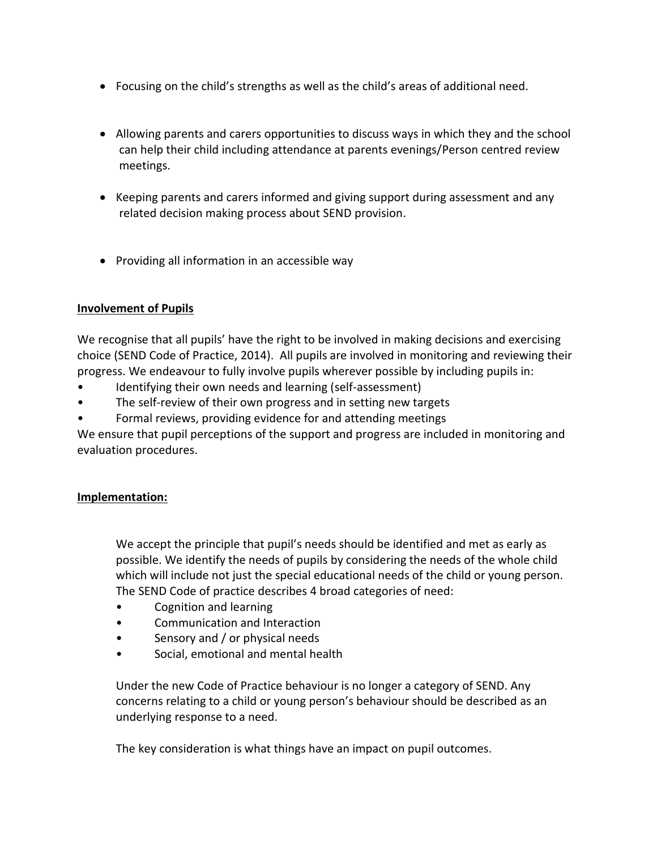- Focusing on the child's strengths as well as the child's areas of additional need.
- Allowing parents and carers opportunities to discuss ways in which they and the school can help their child including attendance at parents evenings/Person centred review meetings.
- Keeping parents and carers informed and giving support during assessment and any related decision making process about SEND provision.
- Providing all information in an accessible way

## **Involvement of Pupils**

We recognise that all pupils' have the right to be involved in making decisions and exercising choice (SEND Code of Practice, 2014). All pupils are involved in monitoring and reviewing their progress. We endeavour to fully involve pupils wherever possible by including pupils in:

- Identifying their own needs and learning (self-assessment)
- The self-review of their own progress and in setting new targets
- Formal reviews, providing evidence for and attending meetings

We ensure that pupil perceptions of the support and progress are included in monitoring and evaluation procedures.

#### **Implementation:**

We accept the principle that pupil's needs should be identified and met as early as possible. We identify the needs of pupils by considering the needs of the whole child which will include not just the special educational needs of the child or young person. The SEND Code of practice describes 4 broad categories of need:

- Cognition and learning
- Communication and Interaction
- Sensory and / or physical needs
- Social, emotional and mental health

Under the new Code of Practice behaviour is no longer a category of SEND. Any concerns relating to a child or young person's behaviour should be described as an underlying response to a need.

The key consideration is what things have an impact on pupil outcomes.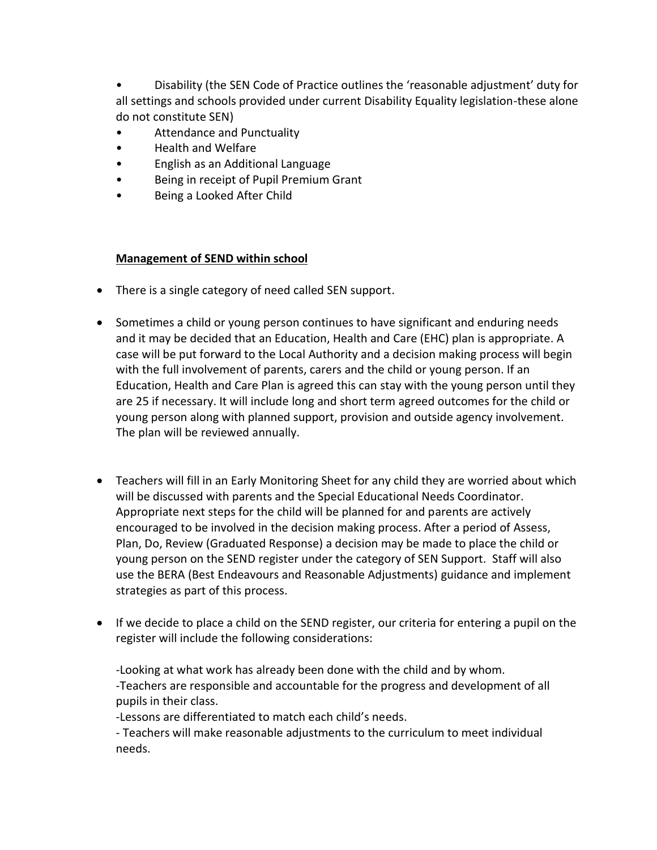• Disability (the SEN Code of Practice outlines the 'reasonable adjustment' duty for all settings and schools provided under current Disability Equality legislation-these alone do not constitute SEN)

- Attendance and Punctuality
- Health and Welfare
- English as an Additional Language
- Being in receipt of Pupil Premium Grant
- Being a Looked After Child

## **Management of SEND within school**

- There is a single category of need called SEN support.
- Sometimes a child or young person continues to have significant and enduring needs and it may be decided that an Education, Health and Care (EHC) plan is appropriate. A case will be put forward to the Local Authority and a decision making process will begin with the full involvement of parents, carers and the child or young person. If an Education, Health and Care Plan is agreed this can stay with the young person until they are 25 if necessary. It will include long and short term agreed outcomes for the child or young person along with planned support, provision and outside agency involvement. The plan will be reviewed annually.
- Teachers will fill in an Early Monitoring Sheet for any child they are worried about which will be discussed with parents and the Special Educational Needs Coordinator. Appropriate next steps for the child will be planned for and parents are actively encouraged to be involved in the decision making process. After a period of Assess, Plan, Do, Review (Graduated Response) a decision may be made to place the child or young person on the SEND register under the category of SEN Support. Staff will also use the BERA (Best Endeavours and Reasonable Adjustments) guidance and implement strategies as part of this process.
- If we decide to place a child on the SEND register, our criteria for entering a pupil on the register will include the following considerations:

-Looking at what work has already been done with the child and by whom. -Teachers are responsible and accountable for the progress and development of all pupils in their class.

-Lessons are differentiated to match each child's needs.

- Teachers will make reasonable adjustments to the curriculum to meet individual needs.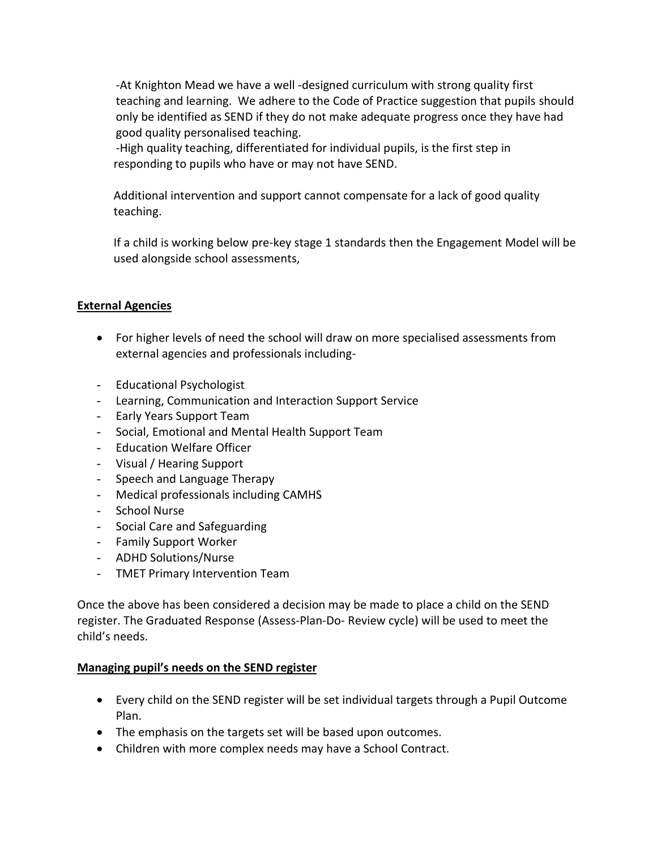-At Knighton Mead we have a well -designed curriculum with strong quality first teaching and learning. We adhere to the Code of Practice suggestion that pupils should only be identified as SEND if they do not make adequate progress once they have had good quality personalised teaching.

-High quality teaching, differentiated for individual pupils, is the first step in responding to pupils who have or may not have SEND.

Additional intervention and support cannot compensate for a lack of good quality teaching.

If a child is working below pre-key stage 1 standards then the Engagement Model will be used alongside school assessments,

## **External Agencies**

- For higher levels of need the school will draw on more specialised assessments from external agencies and professionals including-
- Educational Psychologist
- Learning, Communication and Interaction Support Service
- Early Years Support Team
- Social, Emotional and Mental Health Support Team
- Education Welfare Officer
- Visual / Hearing Support
- Speech and Language Therapy
- Medical professionals including CAMHS
- School Nurse
- Social Care and Safeguarding
- Family Support Worker
- ADHD Solutions/Nurse
- TMET Primary Intervention Team

Once the above has been considered a decision may be made to place a child on the SEND register. The Graduated Response (Assess-Plan-Do- Review cycle) will be used to meet the child's needs.

#### **Managing pupil's needs on the SEND register**

- Every child on the SEND register will be set individual targets through a Pupil Outcome Plan.
- The emphasis on the targets set will be based upon outcomes.
- Children with more complex needs may have a School Contract.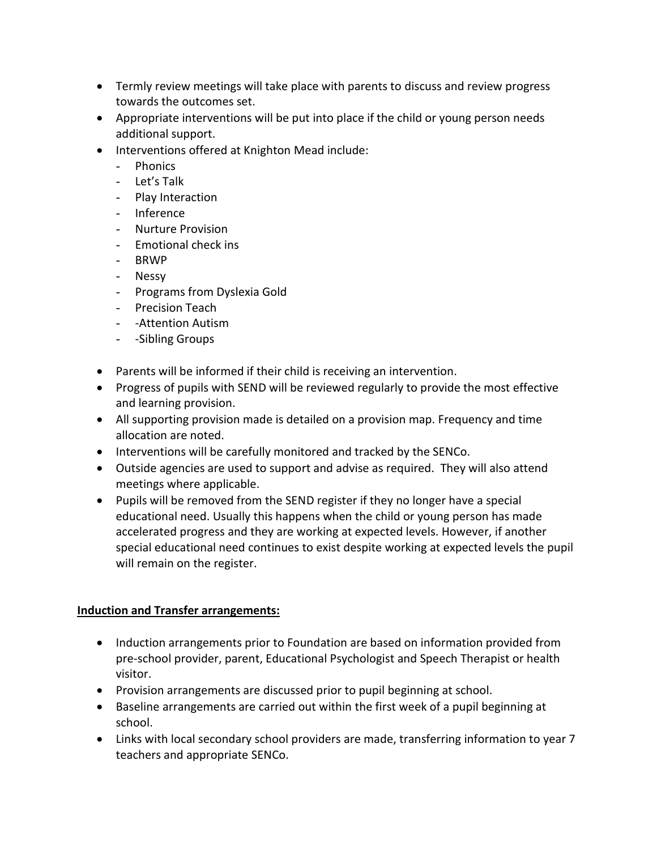- Termly review meetings will take place with parents to discuss and review progress towards the outcomes set.
- Appropriate interventions will be put into place if the child or young person needs additional support.
- Interventions offered at Knighton Mead include:
	- Phonics
	- Let's Talk
	- Play Interaction
	- Inference
	- Nurture Provision
	- Emotional check ins
	- BRWP
	- Nessy
	- Programs from Dyslexia Gold
	- Precision Teach
	- -Attention Autism
	- -Sibling Groups
- Parents will be informed if their child is receiving an intervention.
- Progress of pupils with SEND will be reviewed regularly to provide the most effective and learning provision.
- All supporting provision made is detailed on a provision map. Frequency and time allocation are noted.
- Interventions will be carefully monitored and tracked by the SENCo.
- Outside agencies are used to support and advise as required. They will also attend meetings where applicable.
- Pupils will be removed from the SEND register if they no longer have a special educational need. Usually this happens when the child or young person has made accelerated progress and they are working at expected levels. However, if another special educational need continues to exist despite working at expected levels the pupil will remain on the register.

## **Induction and Transfer arrangements:**

- Induction arrangements prior to Foundation are based on information provided from pre-school provider, parent, Educational Psychologist and Speech Therapist or health visitor.
- Provision arrangements are discussed prior to pupil beginning at school.
- Baseline arrangements are carried out within the first week of a pupil beginning at school.
- Links with local secondary school providers are made, transferring information to year 7 teachers and appropriate SENCo.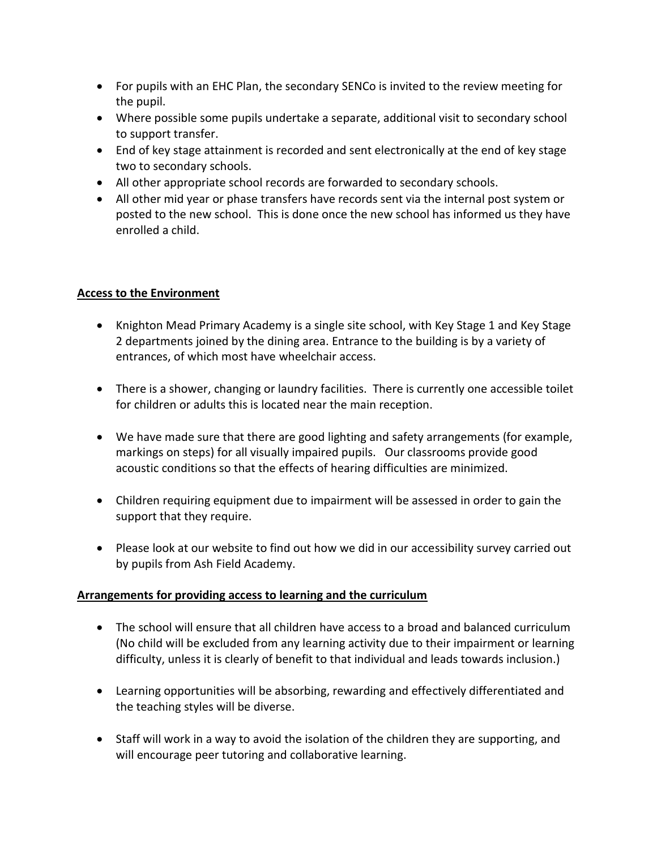- For pupils with an EHC Plan, the secondary SENCo is invited to the review meeting for the pupil.
- Where possible some pupils undertake a separate, additional visit to secondary school to support transfer.
- End of key stage attainment is recorded and sent electronically at the end of key stage two to secondary schools.
- All other appropriate school records are forwarded to secondary schools.
- All other mid year or phase transfers have records sent via the internal post system or posted to the new school. This is done once the new school has informed us they have enrolled a child.

## **Access to the Environment**

- Knighton Mead Primary Academy is a single site school, with Key Stage 1 and Key Stage 2 departments joined by the dining area. Entrance to the building is by a variety of entrances, of which most have wheelchair access.
- There is a shower, changing or laundry facilities. There is currently one accessible toilet for children or adults this is located near the main reception.
- We have made sure that there are good lighting and safety arrangements (for example, markings on steps) for all visually impaired pupils. Our classrooms provide good acoustic conditions so that the effects of hearing difficulties are minimized.
- Children requiring equipment due to impairment will be assessed in order to gain the support that they require.
- Please look at our website to find out how we did in our accessibility survey carried out by pupils from Ash Field Academy.

## **Arrangements for providing access to learning and the curriculum**

- The school will ensure that all children have access to a broad and balanced curriculum (No child will be excluded from any learning activity due to their impairment or learning difficulty, unless it is clearly of benefit to that individual and leads towards inclusion.)
- Learning opportunities will be absorbing, rewarding and effectively differentiated and the teaching styles will be diverse.
- Staff will work in a way to avoid the isolation of the children they are supporting, and will encourage peer tutoring and collaborative learning.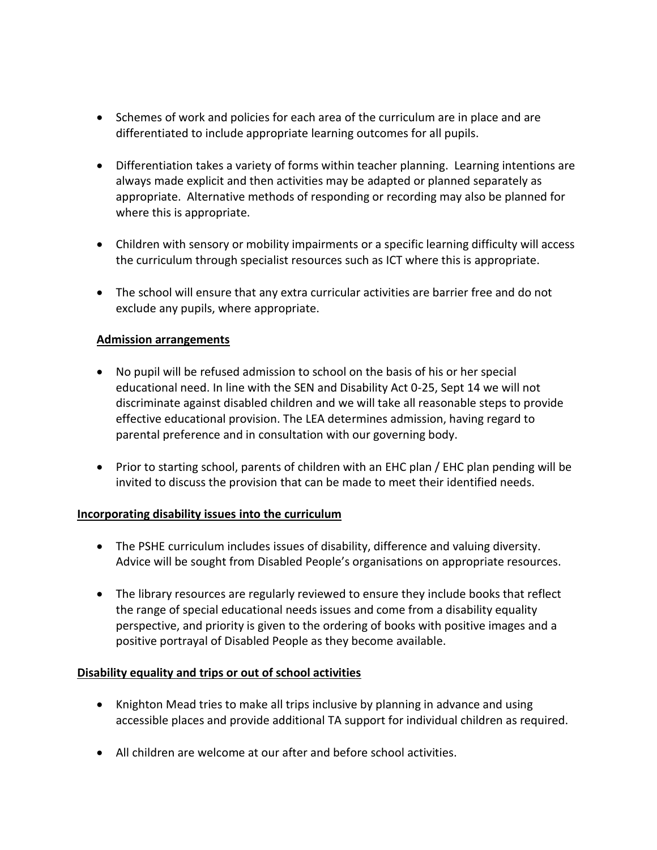- Schemes of work and policies for each area of the curriculum are in place and are differentiated to include appropriate learning outcomes for all pupils.
- Differentiation takes a variety of forms within teacher planning. Learning intentions are always made explicit and then activities may be adapted or planned separately as appropriate. Alternative methods of responding or recording may also be planned for where this is appropriate.
- Children with sensory or mobility impairments or a specific learning difficulty will access the curriculum through specialist resources such as ICT where this is appropriate.
- The school will ensure that any extra curricular activities are barrier free and do not exclude any pupils, where appropriate.

## **Admission arrangements**

- No pupil will be refused admission to school on the basis of his or her special educational need. In line with the SEN and Disability Act 0-25, Sept 14 we will not discriminate against disabled children and we will take all reasonable steps to provide effective educational provision. The LEA determines admission, having regard to parental preference and in consultation with our governing body.
- Prior to starting school, parents of children with an EHC plan / EHC plan pending will be invited to discuss the provision that can be made to meet their identified needs.

#### **Incorporating disability issues into the curriculum**

- The PSHE curriculum includes issues of disability, difference and valuing diversity. Advice will be sought from Disabled People's organisations on appropriate resources.
- The library resources are regularly reviewed to ensure they include books that reflect the range of special educational needs issues and come from a disability equality perspective, and priority is given to the ordering of books with positive images and a positive portrayal of Disabled People as they become available.

#### **Disability equality and trips or out of school activities**

- Knighton Mead tries to make all trips inclusive by planning in advance and using accessible places and provide additional TA support for individual children as required.
- All children are welcome at our after and before school activities.